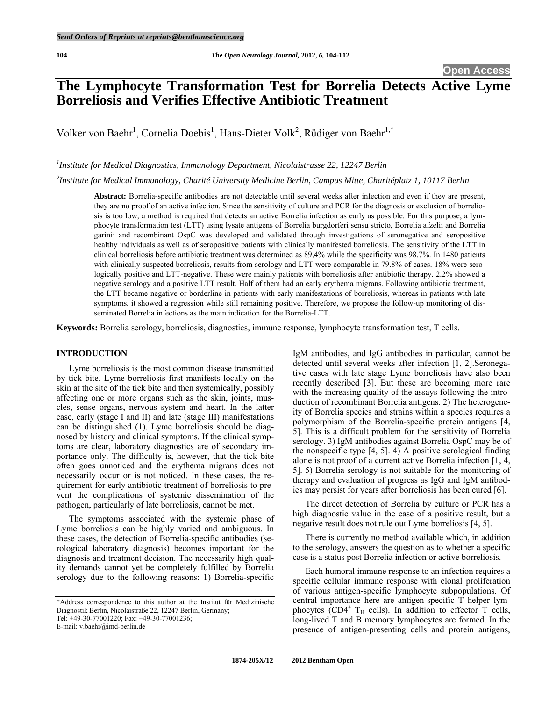# **The Lymphocyte Transformation Test for Borrelia Detects Active Lyme Borreliosis and Verifies Effective Antibiotic Treatment**

Volker von Baehr<sup>1</sup>, Cornelia Doebis<sup>1</sup>, Hans-Dieter Volk<sup>2</sup>, Rüdiger von Baehr<sup>1,\*</sup>

*1 Institute for Medical Diagnostics, Immunology Department, Nicolaistrasse 22, 12247 Berlin* 

*2 Institute for Medical Immunology, Charité University Medicine Berlin, Campus Mitte, Charitéplatz 1, 10117 Berlin* 

**Abstract:** Borrelia-specific antibodies are not detectable until several weeks after infection and even if they are present, they are no proof of an active infection. Since the sensitivity of culture and PCR for the diagnosis or exclusion of borreliosis is too low, a method is required that detects an active Borrelia infection as early as possible. For this purpose, a lymphocyte transformation test (LTT) using lysate antigens of Borrelia burgdorferi sensu stricto, Borrelia afzelii and Borrelia garinii and recombinant OspC was developed and validated through investigations of seronegative and seropositive healthy individuals as well as of seropositive patients with clinically manifested borreliosis. The sensitivity of the LTT in clinical borreliosis before antibiotic treatment was determined as 89,4% while the specificity was 98,7%. In 1480 patients with clinically suspected borreliosis, results from serology and LTT were comparable in 79.8% of cases. 18% were serologically positive and LTT-negative. These were mainly patients with borreliosis after antibiotic therapy. 2.2% showed a negative serology and a positive LTT result. Half of them had an early erythema migrans. Following antibiotic treatment, the LTT became negative or borderline in patients with early manifestations of borreliosis, whereas in patients with late symptoms, it showed a regression while still remaining positive. Therefore, we propose the follow-up monitoring of disseminated Borrelia infections as the main indication for the Borrelia-LTT.

**Keywords:** Borrelia serology, borreliosis, diagnostics, immune response, lymphocyte transformation test, T cells.

#### **INTRODUCTION**

 Lyme borreliosis is the most common disease transmitted by tick bite. Lyme borreliosis first manifests locally on the skin at the site of the tick bite and then systemically, possibly affecting one or more organs such as the skin, joints, muscles, sense organs, nervous system and heart. In the latter case, early (stage I and II) and late (stage III) manifestations can be distinguished (1). Lyme borreliosis should be diagnosed by history and clinical symptoms. If the clinical symptoms are clear, laboratory diagnostics are of secondary importance only. The difficulty is, however, that the tick bite often goes unnoticed and the erythema migrans does not necessarily occur or is not noticed. In these cases, the requirement for early antibiotic treatment of borreliosis to prevent the complications of systemic dissemination of the pathogen, particularly of late borreliosis, cannot be met.

 The symptoms associated with the systemic phase of Lyme borreliosis can be highly varied and ambiguous. In these cases, the detection of Borrelia-specific antibodies (serological laboratory diagnosis) becomes important for the diagnosis and treatment decision. The necessarily high quality demands cannot yet be completely fulfilled by Borrelia serology due to the following reasons: 1) Borrelia-specific

\*Address correspondence to this author at the Institut für Medizinische Diagnostik Berlin, Nicolaistraße 22, 12247 Berlin, Germany; Tel: +49-30-77001220; Fax: +49-30-77001236;

E-mail: v.baehr@imd-berlin.de

IgM antibodies, and IgG antibodies in particular, cannot be detected until several weeks after infection [1, 2].Seronegative cases with late stage Lyme borreliosis have also been recently described [3]. But these are becoming more rare with the increasing quality of the assays following the introduction of recombinant Borrelia antigens. 2) The heterogeneity of Borrelia species and strains within a species requires a polymorphism of the Borrelia-specific protein antigens [4, 5]. This is a difficult problem for the sensitivity of Borrelia serology. 3) IgM antibodies against Borrelia OspC may be of the nonspecific type [4, 5]. 4) A positive serological finding alone is not proof of a current active Borrelia infection [1, 4, 5]. 5) Borrelia serology is not suitable for the monitoring of therapy and evaluation of progress as IgG and IgM antibodies may persist for years after borreliosis has been cured [6].

 The direct detection of Borrelia by culture or PCR has a high diagnostic value in the case of a positive result, but a negative result does not rule out Lyme borreliosis [4, 5].

 There is currently no method available which, in addition to the serology, answers the question as to whether a specific case is a status post Borrelia infection or active borreliosis.

 Each humoral immune response to an infection requires a specific cellular immune response with clonal proliferation of various antigen-specific lymphocyte subpopulations. Of central importance here are antigen-specific T helper lymphocytes (CD4<sup>+</sup> T<sub>H</sub> cells). In addition to effector T cells, long-lived T and B memory lymphocytes are formed. In the presence of antigen-presenting cells and protein antigens,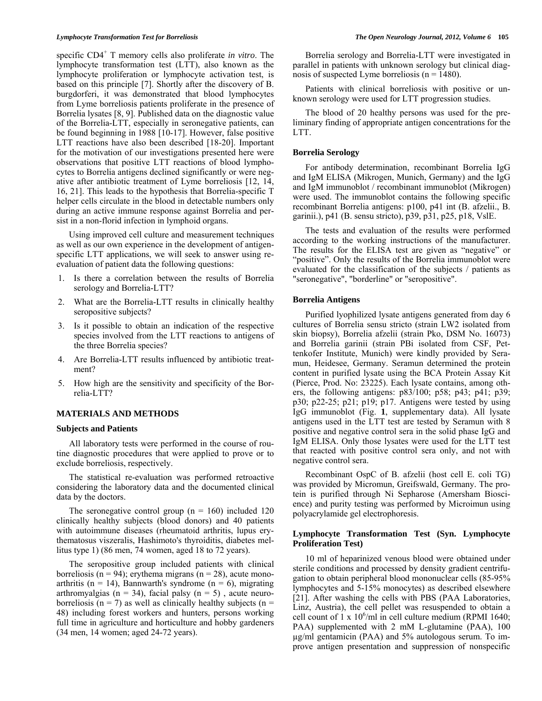specific CD4<sup>+</sup> T memory cells also proliferate *in vitro*. The lymphocyte transformation test (LTT), also known as the lymphocyte proliferation or lymphocyte activation test, is based on this principle [7]. Shortly after the discovery of B. burgdorferi, it was demonstrated that blood lymphocytes from Lyme borreliosis patients proliferate in the presence of Borrelia lysates [8, 9]. Published data on the diagnostic value of the Borrelia-LTT, especially in seronegative patients, can be found beginning in 1988 [10-17]. However, false positive LTT reactions have also been described [18-20]. Important for the motivation of our investigations presented here were observations that positive LTT reactions of blood lymphocytes to Borrelia antigens declined significantly or were negative after antibiotic treatment of Lyme borreliosis [12, 14, 16, 21]. This leads to the hypothesis that Borrelia-specific T helper cells circulate in the blood in detectable numbers only during an active immune response against Borrelia and persist in a non-florid infection in lymphoid organs.

 Using improved cell culture and measurement techniques as well as our own experience in the development of antigenspecific LTT applications, we will seek to answer using reevaluation of patient data the following questions:

- 1. Is there a correlation between the results of Borrelia serology and Borrelia-LTT?
- 2. What are the Borrelia-LTT results in clinically healthy seropositive subjects?
- 3. Is it possible to obtain an indication of the respective species involved from the LTT reactions to antigens of the three Borrelia species?
- 4. Are Borrelia-LTT results influenced by antibiotic treatment?
- 5. How high are the sensitivity and specificity of the Borrelia-LTT?

### **MATERIALS AND METHODS**

# **Subjects and Patients**

 All laboratory tests were performed in the course of routine diagnostic procedures that were applied to prove or to exclude borreliosis, respectively.

 The statistical re-evaluation was performed retroactive considering the laboratory data and the documented clinical data by the doctors.

The seronegative control group ( $n = 160$ ) included 120 clinically healthy subjects (blood donors) and 40 patients with autoimmune diseases (rheumatoid arthritis, lupus erythematosus viszeralis, Hashimoto's thyroiditis, diabetes mellitus type 1) (86 men, 74 women, aged 18 to 72 years).

 The seropositive group included patients with clinical borreliosis (n = 94); erythema migrans (n = 28), acute monoarthritis (n = 14), Bannwarth's syndrome (n = 6), migrating arthromyalgias ( $n = 34$ ), facial palsy ( $n = 5$ ), acute neuroborreliosis ( $n = 7$ ) as well as clinically healthy subjects ( $n =$ 48) including forest workers and hunters, persons working full time in agriculture and horticulture and hobby gardeners (34 men, 14 women; aged 24-72 years).

 Borrelia serology and Borrelia-LTT were investigated in parallel in patients with unknown serology but clinical diagnosis of suspected Lyme borreliosis ( $n = 1480$ ).

 Patients with clinical borreliosis with positive or unknown serology were used for LTT progression studies.

 The blood of 20 healthy persons was used for the preliminary finding of appropriate antigen concentrations for the LTT.

### **Borrelia Serology**

 For antibody determination, recombinant Borrelia IgG and IgM ELISA (Mikrogen, Munich, Germany) and the IgG and IgM immunoblot / recombinant immunoblot (Mikrogen) were used. The immunoblot contains the following specific recombinant Borrelia antigens: p100, p41 int (B. afzelii., B. garinii.), p41 (B. sensu stricto), p39, p31, p25, p18, VslE.

 The tests and evaluation of the results were performed according to the working instructions of the manufacturer. The results for the ELISA test are given as "negative" or "positive". Only the results of the Borrelia immunoblot were evaluated for the classification of the subjects / patients as "seronegative", "borderline" or "seropositive".

#### **Borrelia Antigens**

 Purified lyophilized lysate antigens generated from day 6 cultures of Borrelia sensu stricto (strain LW2 isolated from skin biopsy), Borrelia afzelii (strain Pko, DSM No. 16073) and Borrelia garinii (strain PBi isolated from CSF, Pettenkofer Institute, Munich) were kindly provided by Seramun, Heidesee, Germany. Seramun determined the protein content in purified lysate using the BCA Protein Assay Kit (Pierce, Prod. No: 23225). Each lysate contains, among others, the following antigens: p83/100; p58; p43; p41; p39; p30; p22-25; p21; p19; p17. Antigens were tested by using IgG immunoblot (Fig. **1**, supplementary data). All lysate antigens used in the LTT test are tested by Seramun with 8 positive and negative control sera in the solid phase IgG and IgM ELISA. Only those lysates were used for the LTT test that reacted with positive control sera only, and not with negative control sera.

 Recombinant OspC of B. afzelii (host cell E. coli TG) was provided by Micromun, Greifswald, Germany. The protein is purified through Ni Sepharose (Amersham Bioscience) and purity testing was performed by Microimun using polyacrylamide gel electrophoresis.

# **Lymphocyte Transformation Test (Syn. Lymphocyte Proliferation Test)**

 10 ml of heparinized venous blood were obtained under sterile conditions and processed by density gradient centrifugation to obtain peripheral blood mononuclear cells (85-95% lymphocytes and 5-15% monocytes) as described elsewhere [21]. After washing the cells with PBS (PAA Laboratories, Linz, Austria), the cell pellet was resuspended to obtain a cell count of  $1 \times 10^6$ /ml in cell culture medium (RPMI 1640; PAA) supplemented with 2 mM L-glutamine (PAA), 100 µg/ml gentamicin (PAA) and 5% autologous serum. To improve antigen presentation and suppression of nonspecific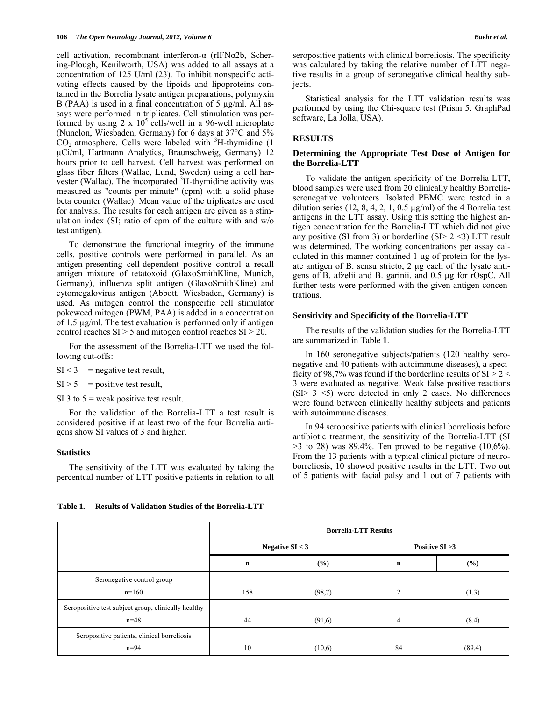cell activation, recombinant interferon-α (rIFNα2b, Schering-Plough, Kenilworth, USA) was added to all assays at a concentration of 125 U/ml (23). To inhibit nonspecific activating effects caused by the lipoids and lipoproteins contained in the Borrelia lysate antigen preparations, polymyxin B (PAA) is used in a final concentration of 5 µg/ml. All assays were performed in triplicates. Cell stimulation was performed by using  $2 \times 10^5$  cells/well in a 96-well microplate (Nunclon, Wiesbaden, Germany) for 6 days at 37°C and 5%  $CO<sub>2</sub>$  atmosphere. Cells were labeled with  $3H$ -thymidine (1) µCi/ml, Hartmann Analytics, Braunschweig, Germany) 12 hours prior to cell harvest. Cell harvest was performed on glass fiber filters (Wallac, Lund, Sweden) using a cell harvester (Wallac). The incorporated <sup>3</sup>H-thymidine activity was measured as "counts per minute" (cpm) with a solid phase beta counter (Wallac). Mean value of the triplicates are used for analysis. The results for each antigen are given as a stimulation index (SI; ratio of cpm of the culture with and w/o test antigen).

 To demonstrate the functional integrity of the immune cells, positive controls were performed in parallel. As an antigen-presenting cell-dependent positive control a recall antigen mixture of tetatoxoid (GlaxoSmithKline, Munich, Germany), influenza split antigen (GlaxoSmithKline) and cytomegalovirus antigen (Abbott, Wiesbaden, Germany) is used. As mitogen control the nonspecific cell stimulator pokeweed mitogen (PWM, PAA) is added in a concentration of 1.5 µg/ml. The test evaluation is performed only if antigen control reaches SI > 5 and mitogen control reaches SI > 20.

 For the assessment of the Borrelia-LTT we used the following cut-offs:

- $SI < 3$  = negative test result,
- $SI > 5$  = positive test result,
- SI 3 to  $5$  = weak positive test result.

 For the validation of the Borrelia-LTT a test result is considered positive if at least two of the four Borrelia antigens show SI values of 3 and higher.

#### **Statistics**

 The sensitivity of the LTT was evaluated by taking the percentual number of LTT positive patients in relation to all seropositive patients with clinical borreliosis. The specificity was calculated by taking the relative number of LTT negative results in a group of seronegative clinical healthy subjects.

 Statistical analysis for the LTT validation results was performed by using the Chi-square test (Prism 5, GraphPad software, La Jolla, USA).

# **RESULTS**

# **Determining the Appropriate Test Dose of Antigen for the Borrelia-LTT**

 To validate the antigen specificity of the Borrelia-LTT, blood samples were used from 20 clinically healthy Borreliaseronegative volunteers. Isolated PBMC were tested in a dilution series  $(12, 8, 4, 2, 1, 0.5 \mu g/ml)$  of the 4 Borrelia test antigens in the LTT assay. Using this setting the highest antigen concentration for the Borrelia-LTT which did not give any positive (SI from 3) or borderline (SI $> 2$  <3) LTT result was determined. The working concentrations per assay calculated in this manner contained 1 μg of protein for the lysate antigen of B. sensu stricto, 2 μg each of the lysate antigens of B. afzelii and B. garinii, and 0.5 μg for rOspC. All further tests were performed with the given antigen concentrations.

## **Sensitivity and Specificity of the Borrelia-LTT**

 The results of the validation studies for the Borrelia-LTT are summarized in Table **1**.

 In 160 seronegative subjects/patients (120 healthy seronegative and 40 patients with autoimmune diseases), a specificity of 98,7% was found if the borderline results of  $SI > 2 <$ 3 were evaluated as negative. Weak false positive reactions (SI> 3 <5) were detected in only 2 cases. No differences were found between clinically healthy subjects and patients with autoimmune diseases.

 In 94 seropositive patients with clinical borreliosis before antibiotic treatment, the sensitivity of the Borrelia-LTT (SI  $>$ 3 to 28) was 89.4%. Ten proved to be negative (10,6%). From the 13 patients with a typical clinical picture of neuroborreliosis, 10 showed positive results in the LTT. Two out of 5 patients with facial palsy and 1 out of 7 patients with

#### **Table 1. Results of Validation Studies of the Borrelia-LTT**

|                                                     | <b>Borrelia-LTT Results</b> |        |                   |        |  |
|-----------------------------------------------------|-----------------------------|--------|-------------------|--------|--|
|                                                     | Negative $SI < 3$           |        | Positive $SI > 3$ |        |  |
|                                                     | $\mathbf n$                 | (%)    | $\mathbf n$       | (%)    |  |
| Seronegative control group                          |                             |        |                   |        |  |
| $n=160$                                             | 158                         | (98,7) | 2                 | (1.3)  |  |
| Seropositive test subject group, clinically healthy |                             |        |                   |        |  |
| $n = 48$                                            | 44                          | (91,6) | $\overline{4}$    | (8.4)  |  |
| Seropositive patients, clinical borreliosis         |                             |        |                   |        |  |
| $n = 94$                                            | 10                          | (10,6) | 84                | (89.4) |  |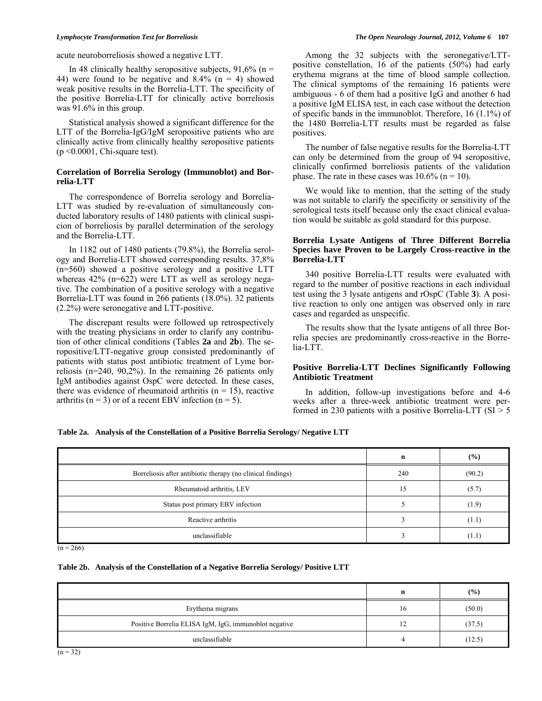acute neuroborreliosis showed a negative LTT.

In 48 clinically healthy seropositive subjects,  $91,6\%$  (n = 44) were found to be negative and  $8.4\%$  (n = 4) showed weak positive results in the Borrelia-LTT. The specificity of the positive Borrelia-LTT for clinically active borreliosis was 91.6% in this group.

 Statistical analysis showed a significant difference for the LTT of the Borrelia-IgG/IgM seropositive patients who are clinically active from clinically healthy seropositive patients  $(p \le 0.0001,$  Chi-square test).

# **Correlation of Borrelia Serology (Immunoblot) and Borrelia-LTT**

 The correspondence of Borrelia serology and Borrelia-LTT was studied by re-evaluation of simultaneously conducted laboratory results of 1480 patients with clinical suspicion of borreliosis by parallel determination of the serology and the Borrelia-LTT.

 In 1182 out of 1480 patients (79.8%), the Borrelia serology and Borrelia-LTT showed corresponding results. 37,8% (n=560) showed a positive serology and a positive LTT whereas  $42\%$  (n=622) were LTT as well as serology negative. The combination of a positive serology with a negative Borrelia-LTT was found in 266 patients (18.0%). 32 patients (2.2%) were seronegative and LTT-positive.

 The discrepant results were followed up retrospectively with the treating physicians in order to clarify any contribution of other clinical conditions (Tables **2a** and **2b**). The seropositive/LTT-negative group consisted predominantly of patients with status post antibiotic treatment of Lyme borreliosis (n=240, 90,2%). In the remaining 26 patients only IgM antibodies against OspC were detected. In these cases, there was evidence of rheumatoid arthritis ( $n = 15$ ), reactive arthritis ( $n = 3$ ) or of a recent EBV infection ( $n = 5$ ).

 Among the 32 subjects with the seronegative/LTTpositive constellation, 16 of the patients (50%) had early erythema migrans at the time of blood sample collection. The clinical symptoms of the remaining 16 patients were ambiguous - 6 of them had a positive IgG and another 6 had a positive IgM ELISA test, in each case without the detection of specific bands in the immunoblot. Therefore, 16 (1.1%) of the 1480 Borrelia-LTT results must be regarded as false positives.

 The number of false negative results for the Borrelia-LTT can only be determined from the group of 94 seropositive, clinically confirmed borreliosis patients of the validation phase. The rate in these cases was  $10.6\%$  (n = 10).

 We would like to mention, that the setting of the study was not suitable to clarify the specificity or sensitivity of the serological tests itself because only the exact clinical evaluation would be suitable as gold standard for this purpose.

# **Borrelia Lysate Antigens of Three Different Borrelia Species have Proven to be Largely Cross-reactive in the Borrelia-LTT**

 340 positive Borrelia-LTT results were evaluated with regard to the number of positive reactions in each individual test using the 3 lysate antigens and rOspC (Table **3**). A positive reaction to only one antigen was observed only in rare cases and regarded as unspecific.

 The results show that the lysate antigens of all three Borrelia species are predominantly cross-reactive in the Borrelia-LTT.

# **Positive Borrelia-LTT Declines Significantly Following Antibiotic Treatment**

 In addition, follow-up investigations before and 4-6 weeks after a three-week antibiotic treatment were performed in 230 patients with a positive Borrelia-LTT ( $SI > 5$ )

# **Table 2a. Analysis of the Constellation of a Positive Borrelia Serology/ Negative LTT**

|                                                             | n   | $($ %) |
|-------------------------------------------------------------|-----|--------|
| Borreliosis after antibiotic therapy (no clinical findings) | 240 | (90.2) |
| Rheumatoid arthritis, LEV                                   | 15  | (5.7)  |
| Status post primary EBV infection                           |     | (1.9)  |
| Reactive arthritis                                          |     | (1.1)  |
| unclassifiable                                              |     | (1.1)  |

 $(n = 266)$ 

#### **Table 2b. Analysis of the Constellation of a Negative Borrelia Serology/ Positive LTT**

|                                                       | n  | (9/0)  |
|-------------------------------------------------------|----|--------|
| Erythema migrans                                      | 16 | (50.0) |
| Positive Borrelia ELISA IgM, IgG, immunoblot negative | 12 | (37.5) |
| unclassifiable                                        |    | (12.5) |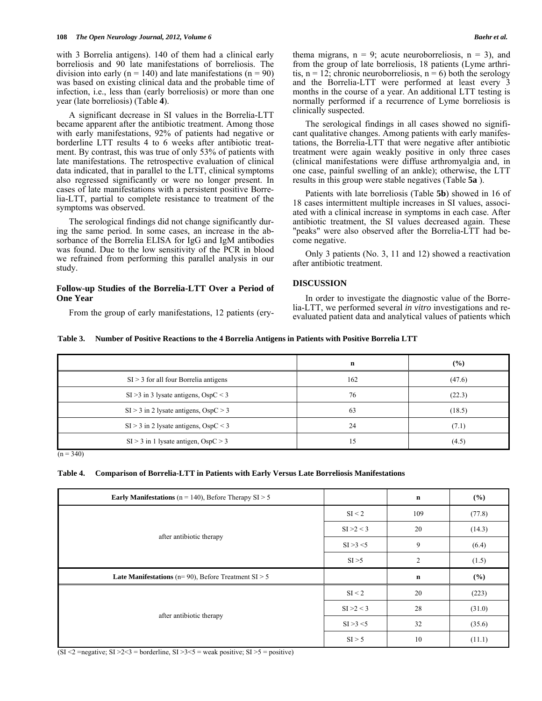with 3 Borrelia antigens). 140 of them had a clinical early borreliosis and 90 late manifestations of borreliosis. The division into early ( $n = 140$ ) and late manifestations ( $n = 90$ ) was based on existing clinical data and the probable time of infection, i.e., less than (early borreliosis) or more than one year (late borreliosis) (Table **4**).

 A significant decrease in SI values in the Borrelia-LTT became apparent after the antibiotic treatment. Among those with early manifestations, 92% of patients had negative or borderline LTT results 4 to 6 weeks after antibiotic treatment. By contrast, this was true of only 53% of patients with late manifestations. The retrospective evaluation of clinical data indicated, that in parallel to the LTT, clinical symptoms also regressed significantly or were no longer present. In cases of late manifestations with a persistent positive Borrelia-LTT, partial to complete resistance to treatment of the symptoms was observed.

 The serological findings did not change significantly during the same period. In some cases, an increase in the absorbance of the Borrelia ELISA for IgG and IgM antibodies was found. Due to the low sensitivity of the PCR in blood we refrained from performing this parallel analysis in our study.

# **Follow-up Studies of the Borrelia-LTT Over a Period of One Year**

From the group of early manifestations, 12 patients (ery-

thema migrans,  $n = 9$ ; acute neuroborreliosis,  $n = 3$ ), and from the group of late borreliosis, 18 patients (Lyme arthritis,  $n = 12$ ; chronic neuroborreliosis,  $n = 6$ ) both the serology and the Borrelia-LTT were performed at least every 3 months in the course of a year. An additional LTT testing is normally performed if a recurrence of Lyme borreliosis is clinically suspected.

 The serological findings in all cases showed no significant qualitative changes. Among patients with early manifestations, the Borrelia-LTT that were negative after antibiotic treatment were again weakly positive in only three cases (clinical manifestations were diffuse arthromyalgia and, in one case, painful swelling of an ankle); otherwise, the LTT results in this group were stable negatives (Table **5a** ).

 Patients with late borreliosis (Table **5b**) showed in 16 of 18 cases intermittent multiple increases in SI values, associated with a clinical increase in symptoms in each case. After antibiotic treatment, the SI values decreased again. These "peaks" were also observed after the Borrelia-LTT had become negative.

 Only 3 patients (No. 3, 11 and 12) showed a reactivation after antibiotic treatment.

# **DISCUSSION**

 In order to investigate the diagnostic value of the Borrelia-LTT, we performed several *in vitro* investigations and reevaluated patient data and analytical values of patients which

|  | Table 3. Number of Positive Reactions to the 4 Borrelia Antigens in Patients with Positive Borrelia LTT |  |  |
|--|---------------------------------------------------------------------------------------------------------|--|--|
|--|---------------------------------------------------------------------------------------------------------|--|--|

|                                           | n   | (%)    |
|-------------------------------------------|-----|--------|
| $SI > 3$ for all four Borrelia antigens   | 162 | (47.6) |
| $SI > 3$ in 3 lysate antigens, $OspC < 3$ | 76  | (22.3) |
| $SI > 3$ in 2 lysate antigens, $OspC > 3$ | 63  | (18.5) |
| $SI > 3$ in 2 lysate antigens, OspC < 3   | 24  | (7.1)  |
| $SI > 3$ in 1 lysate antigen, $OspC > 3$  | 15  | (4.5)  |

 $(n = 340)$ 

#### **Table 4. Comparison of Borrelia-LTT in Patients with Early Versus Late Borreliosis Manifestations**

| <b>Early Manifestations</b> ( $n = 140$ ), Before Therapy SI > 5 |            | $\mathbf n$ | (%)    |
|------------------------------------------------------------------|------------|-------------|--------|
|                                                                  | SI < 2     | 109         | (77.8) |
|                                                                  | SI > 2 < 3 | 20          | (14.3) |
| after antibiotic therapy                                         | SI > 3 < 5 | 9           | (6.4)  |
|                                                                  | SI > 5     | 2           | (1.5)  |
| Late Manifestations ( $n=90$ ), Before Treatment SI $> 5$        |            | $\mathbf n$ | (%)    |
|                                                                  | SI < 2     | 20          | (223)  |
|                                                                  |            |             |        |
|                                                                  | SI > 2 < 3 | 28          | (31.0) |
| after antibiotic therapy                                         | SI > 3 < 5 | 32          | (35.6) |

(SI <2 = negative; SI >  $2 < 3$  = borderline, SI >  $3 < 5$  = weak positive; SI >  $5$  = positive)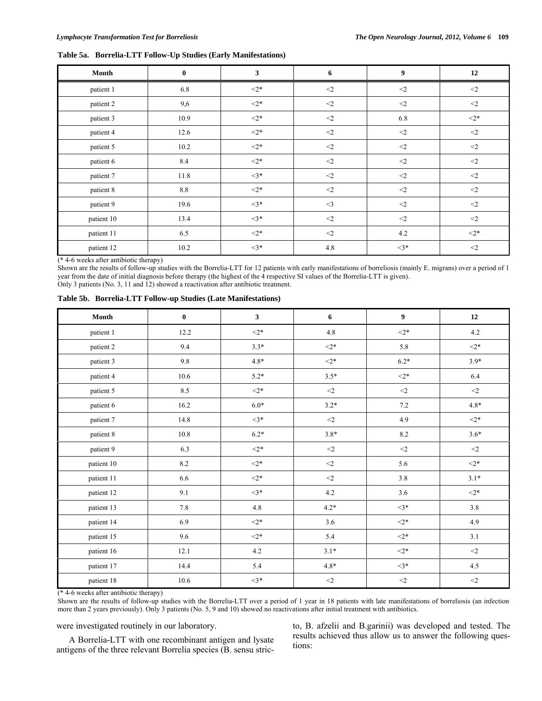# **Table 5a. Borrelia-LTT Follow-Up Studies (Early Manifestations)**

| Month      | $\bf{0}$ | 3         | 6        | 9         | 12        |
|------------|----------|-----------|----------|-----------|-----------|
| patient 1  | 6.8      | $<$ 2*    | $\leq$   | $\leq$ 2  | $<\!\!2$  |
| patient 2  | 9,6      | $<$ 2*    | $<$ 2    | $<$ 2     | $<$ 2     |
| patient 3  | 10.9     | $<$ 2*    | $<$ 2    | 6.8       | $<$ 2*    |
| patient 4  | 12.6     | $\leq 2*$ | $<\!\!2$ | $\leq$    | $<\!\!2$  |
| patient 5  | 10.2     | $\leq 2*$ | $<\!\!2$ | $<$ 2     | $<\!\!2$  |
| patient 6  | 8.4      | $\leq 2*$ | $\leq$   | $\leq$ 2  | $<$ 2     |
| patient 7  | 11.8     | $\leq$ 3* | $<$ 2    | $<$ 2     | $<$ 2     |
| patient 8  | $8.8\,$  | $<$ 2*    | $<$ 2    | $<$ 2     | $<\!\!2$  |
| patient 9  | 19.6     | $\leq$ 3* | $<$ 3    | $<$ 2     | $<\!\!2$  |
| patient 10 | 13.4     | $\leq$ 3* | $<$ 2    | $<$ 2     | $<$ 2     |
| patient 11 | 6.5      | $\leq 2*$ | $<$ 2    | 4.2       | $\leq 2*$ |
| patient 12 | 10.2     | $\leq$ 3* | 4.8      | $\leq$ 3* | $<$ 2     |

(\* 4-6 weeks after antibiotic therapy)

Shown are the results of follow-up studies with the Borrelia-LTT for 12 patients with early manifestations of borreliosis (mainly E. migrans) over a period of 1 year from the date of initial diagnosis before therapy (the highest of the 4 respective SI values of the Borrelia-LTT is given). Only 3 patients (No. 3, 11 and 12) showed a reactivation after antibiotic treatment.

|  |  |  |  |  | Table 5b. Borrelia-LTT Follow-up Studies (Late Manifestations) |
|--|--|--|--|--|----------------------------------------------------------------|
|--|--|--|--|--|----------------------------------------------------------------|

| Month      | $\bf{0}$ | $\mathbf{3}$ | 6        | $\boldsymbol{9}$ | 12          |
|------------|----------|--------------|----------|------------------|-------------|
| patient 1  | 12.2     | $<$ 2*       | $4.8\,$  | $<$ 2*           | 4.2         |
| patient 2  | 9.4      | $3.3*$       | $<$ 2*   | 5.8              | $\leq 2*$   |
| patient 3  | 9.8      | $4.8*$       | $<$ 2*   | $6.2*$           | $3.9*$      |
| patient 4  | $10.6\,$ | $5.2*$       | $3.5*$   | $<$ 2*           | 6.4         |
| patient 5  | 8.5      | $\leq 2*$    | $\leq$   | $<$ $\!\!2$      | $<\!\!2$    |
| patient 6  | 16.2     | $6.0*$       | $3.2*$   | $7.2\,$          | $4.8*$      |
| patient 7  | 14.8     | $<3*$        | $<$ 2    | 4.9              | $\leq 2*$   |
| patient 8  | $10.8\,$ | $6.2*$       | $3.8*$   | $8.2\,$          | $3.6*$      |
| patient 9  | 6.3      | $<$ 2*       | $<\!\!2$ | $<$ $\!\!2$      | $<$ 2       |
| patient 10 | 8.2      | $\leq 2*$    | $<$ 2    | 5.6              | $\leq 2*$   |
| patient 11 | 6.6      | $<$ 2*       | $<\!\!2$ | $3.8\,$          | $3.1*$      |
| patient 12 | 9.1      | $\leq$ 3*    | 4.2      | 3.6              | $2*$        |
| patient 13 | 7.8      | $4.8\,$      | $4.2*$   | $<3*$            | 3.8         |
| patient 14 | 6.9      | $<$ 2*       | 3.6      | $<$ 2*           | 4.9         |
| patient 15 | 9.6      | $<$ 2*       | 5.4      | $<$ 2*           | 3.1         |
| patient 16 | 12.1     | 4.2          | $3.1*$   | $<$ 2*           | $<$ $\!\!2$ |
| patient 17 | 14.4     | 5.4          | $4.8*$   | $\leq$ 3*        | $4.5\,$     |
| patient 18 | $10.6\,$ | $\leq$ 3*    | $<\!\!2$ | $<$ $\!\!2$      | $<$ 2       |

(\* 4-6 weeks after antibiotic therapy)

Shown are the results of follow-up studies with the Borrelia-LTT over a period of 1 year in 18 patients with late manifestations of borreliosis (an infection more than 2 years previously). Only 3 patients (No. 5, 9 and 10) showed no reactivations after initial treatment with antibiotics.

were investigated routinely in our laboratory.

 A Borrelia-LTT with one recombinant antigen and lysate antigens of the three relevant Borrelia species (B. sensu stric-

to, B. afzelii and B.garinii) was developed and tested. The results achieved thus allow us to answer the following questions: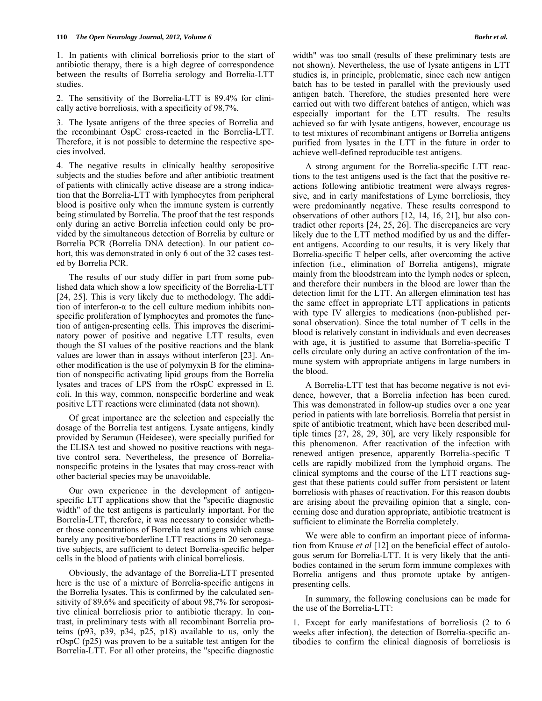1. In patients with clinical borreliosis prior to the start of antibiotic therapy, there is a high degree of correspondence between the results of Borrelia serology and Borrelia-LTT studies.

2. The sensitivity of the Borrelia-LTT is 89.4% for clinically active borreliosis, with a specificity of 98,7%.

3. The lysate antigens of the three species of Borrelia and the recombinant OspC cross-reacted in the Borrelia-LTT. Therefore, it is not possible to determine the respective species involved.

4. The negative results in clinically healthy seropositive subjects and the studies before and after antibiotic treatment of patients with clinically active disease are a strong indication that the Borrelia-LTT with lymphocytes from peripheral blood is positive only when the immune system is currently being stimulated by Borrelia. The proof that the test responds only during an active Borrelia infection could only be provided by the simultaneous detection of Borrelia by culture or Borrelia PCR (Borrelia DNA detection). In our patient cohort, this was demonstrated in only 6 out of the 32 cases tested by Borrelia PCR.

 The results of our study differ in part from some published data which show a low specificity of the Borrelia-LTT [24, 25]. This is very likely due to methodology. The addition of interferon- $\alpha$  to the cell culture medium inhibits nonspecific proliferation of lymphocytes and promotes the function of antigen-presenting cells. This improves the discriminatory power of positive and negative LTT results, even though the SI values of the positive reactions and the blank values are lower than in assays without interferon [23]. Another modification is the use of polymyxin B for the elimination of nonspecific activating lipid groups from the Borrelia lysates and traces of LPS from the rOspC expressed in E. coli. In this way, common, nonspecific borderline and weak positive LTT reactions were eliminated (data not shown).

 Of great importance are the selection and especially the dosage of the Borrelia test antigens. Lysate antigens, kindly provided by Seramun (Heidesee), were specially purified for the ELISA test and showed no positive reactions with negative control sera. Nevertheless, the presence of Borrelianonspecific proteins in the lysates that may cross-react with other bacterial species may be unavoidable.

 Our own experience in the development of antigenspecific LTT applications show that the "specific diagnostic width" of the test antigens is particularly important. For the Borrelia-LTT, therefore, it was necessary to consider whether those concentrations of Borrelia test antigens which cause barely any positive/borderline LTT reactions in 20 seronegative subjects, are sufficient to detect Borrelia-specific helper cells in the blood of patients with clinical borreliosis.

 Obviously, the advantage of the Borrelia-LTT presented here is the use of a mixture of Borrelia-specific antigens in the Borrelia lysates. This is confirmed by the calculated sensitivity of 89,6% and specificity of about 98,7% for seropositive clinical borreliosis prior to antibiotic therapy. In contrast, in preliminary tests with all recombinant Borrelia proteins (p93, p39, p34, p25, p18) available to us, only the rOspC (p25) was proven to be a suitable test antigen for the Borrelia-LTT. For all other proteins, the "specific diagnostic width" was too small (results of these preliminary tests are not shown). Nevertheless, the use of lysate antigens in LTT studies is, in principle, problematic, since each new antigen batch has to be tested in parallel with the previously used antigen batch. Therefore, the studies presented here were carried out with two different batches of antigen, which was especially important for the LTT results. The results achieved so far with lysate antigens, however, encourage us to test mixtures of recombinant antigens or Borrelia antigens purified from lysates in the LTT in the future in order to achieve well-defined reproducible test antigens.

 A strong argument for the Borrelia-specific LTT reactions to the test antigens used is the fact that the positive reactions following antibiotic treatment were always regressive, and in early manifestations of Lyme borreliosis, they were predominantly negative. These results correspond to observations of other authors [12, 14, 16, 21], but also contradict other reports [24, 25, 26]. The discrepancies are very likely due to the LTT method modified by us and the different antigens. According to our results, it is very likely that Borrelia-specific T helper cells, after overcoming the active infection (i.e., elimination of Borrelia antigens), migrate mainly from the bloodstream into the lymph nodes or spleen, and therefore their numbers in the blood are lower than the detection limit for the LTT. An allergen elimination test has the same effect in appropriate LTT applications in patients with type IV allergies to medications (non-published personal observation). Since the total number of T cells in the blood is relatively constant in individuals and even decreases with age, it is justified to assume that Borrelia-specific T cells circulate only during an active confrontation of the immune system with appropriate antigens in large numbers in the blood.

 A Borrelia-LTT test that has become negative is not evidence, however, that a Borrelia infection has been cured. This was demonstrated in follow-up studies over a one year period in patients with late borreliosis. Borrelia that persist in spite of antibiotic treatment, which have been described multiple times [27, 28, 29, 30], are very likely responsible for this phenomenon. After reactivation of the infection with renewed antigen presence, apparently Borrelia-specific T cells are rapidly mobilized from the lymphoid organs. The clinical symptoms and the course of the LTT reactions suggest that these patients could suffer from persistent or latent borreliosis with phases of reactivation. For this reason doubts are arising about the prevailing opinion that a single, concerning dose and duration appropriate, antibiotic treatment is sufficient to eliminate the Borrelia completely.

 We were able to confirm an important piece of information from Krause *et al* [12] on the beneficial effect of autologous serum for Borrelia-LTT. It is very likely that the antibodies contained in the serum form immune complexes with Borrelia antigens and thus promote uptake by antigenpresenting cells.

 In summary, the following conclusions can be made for the use of the Borrelia-LTT:

1. Except for early manifestations of borreliosis (2 to 6 weeks after infection), the detection of Borrelia-specific antibodies to confirm the clinical diagnosis of borreliosis is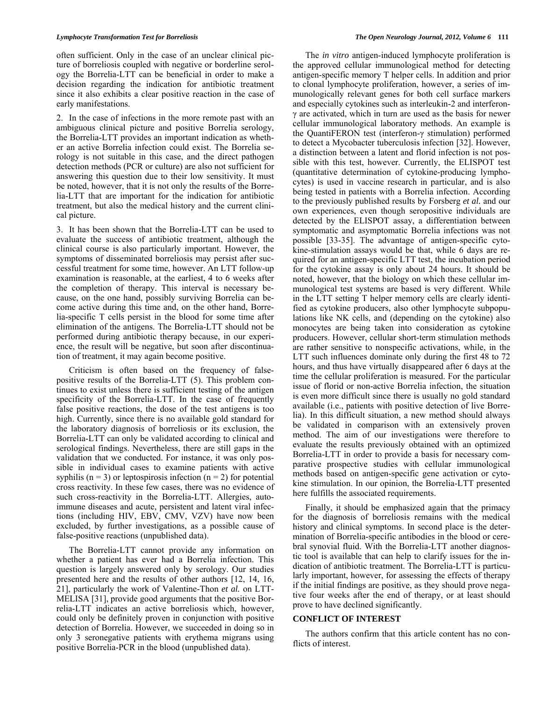often sufficient. Only in the case of an unclear clinical picture of borreliosis coupled with negative or borderline serology the Borrelia-LTT can be beneficial in order to make a decision regarding the indication for antibiotic treatment since it also exhibits a clear positive reaction in the case of early manifestations.

2. In the case of infections in the more remote past with an ambiguous clinical picture and positive Borrelia serology, the Borrelia-LTT provides an important indication as whether an active Borrelia infection could exist. The Borrelia serology is not suitable in this case, and the direct pathogen detection methods (PCR or culture) are also not sufficient for answering this question due to their low sensitivity. It must be noted, however, that it is not only the results of the Borrelia-LTT that are important for the indication for antibiotic treatment, but also the medical history and the current clinical picture.

3. It has been shown that the Borrelia-LTT can be used to evaluate the success of antibiotic treatment, although the clinical course is also particularly important. However, the symptoms of disseminated borreliosis may persist after successful treatment for some time, however. An LTT follow-up examination is reasonable, at the earliest, 4 to 6 weeks after the completion of therapy. This interval is necessary because, on the one hand, possibly surviving Borrelia can become active during this time and, on the other hand, Borrelia-specific T cells persist in the blood for some time after elimination of the antigens. The Borrelia-LTT should not be performed during antibiotic therapy because, in our experience, the result will be negative, but soon after discontinuation of treatment, it may again become positive.

 Criticism is often based on the frequency of falsepositive results of the Borrelia-LTT (5). This problem continues to exist unless there is sufficient testing of the antigen specificity of the Borrelia-LTT. In the case of frequently false positive reactions, the dose of the test antigens is too high. Currently, since there is no available gold standard for the laboratory diagnosis of borreliosis or its exclusion, the Borrelia-LTT can only be validated according to clinical and serological findings. Nevertheless, there are still gaps in the validation that we conducted. For instance, it was only possible in individual cases to examine patients with active syphilis ( $n = 3$ ) or leptospirosis infection ( $n = 2$ ) for potential cross reactivity. In these few cases, there was no evidence of such cross-reactivity in the Borrelia-LTT. Allergies, autoimmune diseases and acute, persistent and latent viral infections (including HIV, EBV, CMV, VZV) have now been excluded, by further investigations, as a possible cause of false-positive reactions (unpublished data).

 The Borrelia-LTT cannot provide any information on whether a patient has ever had a Borrelia infection. This question is largely answered only by serology. Our studies presented here and the results of other authors [12, 14, 16, 21], particularly the work of Valentine-Thon *et al.* on LTT-MELISA [31], provide good arguments that the positive Borrelia-LTT indicates an active borreliosis which, however, could only be definitely proven in conjunction with positive detection of Borrelia. However, we succeeded in doing so in only 3 seronegative patients with erythema migrans using positive Borrelia-PCR in the blood (unpublished data).

 The *in vitro* antigen-induced lymphocyte proliferation is the approved cellular immunological method for detecting antigen-specific memory T helper cells. In addition and prior to clonal lymphocyte proliferation, however, a series of immunologically relevant genes for both cell surface markers and especially cytokines such as interleukin-2 and interferonγ are activated, which in turn are used as the basis for newer cellular immunological laboratory methods. An example is the QuantiFERON test (interferon-γ stimulation) performed to detect a Mycobacter tuberculosis infection [32]. However, a distinction between a latent and florid infection is not possible with this test, however. Currently, the ELISPOT test (quantitative determination of cytokine-producing lymphocytes) is used in vaccine research in particular, and is also being tested in patients with a Borrelia infection. According to the previously published results by Forsberg *et al.* and our own experiences, even though seropositive individuals are detected by the ELISPOT assay, a differentiation between symptomatic and asymptomatic Borrelia infections was not possible [33-35]. The advantage of antigen-specific cytokine-stimulation assays would be that, while 6 days are required for an antigen-specific LTT test, the incubation period for the cytokine assay is only about 24 hours. It should be noted, however, that the biology on which these cellular immunological test systems are based is very different. While in the LTT setting T helper memory cells are clearly identified as cytokine producers, also other lymphocyte subpopulations like NK cells, and (depending on the cytokine) also monocytes are being taken into consideration as cytokine producers. However, cellular short-term stimulation methods are rather sensitive to nonspecific activations, while, in the LTT such influences dominate only during the first 48 to 72 hours, and thus have virtually disappeared after 6 days at the time the cellular proliferation is measured. For the particular issue of florid or non-active Borrelia infection, the situation is even more difficult since there is usually no gold standard available (i.e., patients with positive detection of live Borrelia). In this difficult situation, a new method should always be validated in comparison with an extensively proven method. The aim of our investigations were therefore to evaluate the results previously obtained with an optimized Borrelia-LTT in order to provide a basis for necessary comparative prospective studies with cellular immunological methods based on antigen-specific gene activation or cytokine stimulation. In our opinion, the Borrelia-LTT presented here fulfills the associated requirements.

 Finally, it should be emphasized again that the primacy for the diagnosis of borreliosis remains with the medical history and clinical symptoms. In second place is the determination of Borrelia-specific antibodies in the blood or cerebral synovial fluid. With the Borrelia-LTT another diagnostic tool is available that can help to clarify issues for the indication of antibiotic treatment. The Borrelia-LTT is particularly important, however, for assessing the effects of therapy if the initial findings are positive, as they should prove negative four weeks after the end of therapy, or at least should prove to have declined significantly.

# **CONFLICT OF INTEREST**

 The authors confirm that this article content has no conflicts of interest.